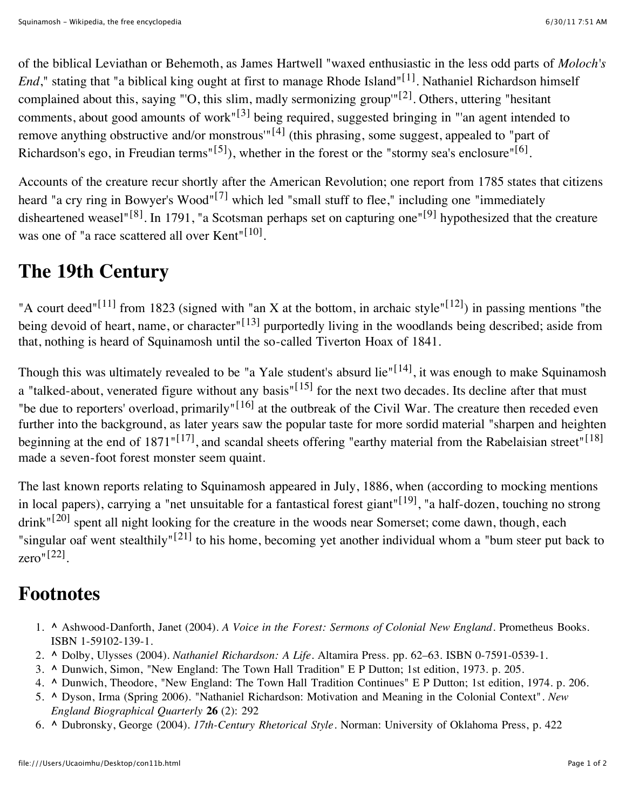of the biblical Leviathan or Behemoth, as James Hartwell "waxed enthusiastic in the less odd parts of *Moloch's End*," stating that "a biblical king ought at first to manage Rhode Island"[\[1\]](file:///Users/Ucaoimhu/Desktop/con11b.html#cite_note-1) . Nathaniel Richardson himself complained about this, saying "'O, this slim, madly sermonizing group'"<sup>[\[2\]](file:///Users/Ucaoimhu/Desktop/con11b.html#cite_note-2)</sup>. Others, uttering "hesitant comments, about good amounts of work"<sup>[\[3\]](file:///Users/Ucaoimhu/Desktop/con11b.html#cite_note-3)</sup> being required, suggested bringing in "'an agent intended to remove anything obstructive and/or monstrous<sup> $n[4]$  $n[4]$ </sup> (this phrasing, some suggest, appealed to "part of Richardson's ego, in Freudian terms"<sup>[\[5\]](file:///Users/Ucaoimhu/Desktop/con11b.html#cite_note-5)</sup>), whether in the forest or the "stormy sea's enclosure"<sup>[\[6\]](file:///Users/Ucaoimhu/Desktop/con11b.html#cite_note-6)</sup>.

Accounts of the creature recur shortly after the American Revolution; one report from 1785 states that citizens heard "a cry ring in Bowyer's Wood"<sup>[\[7\]](file:///Users/Ucaoimhu/Desktop/con11b.html#cite_note-7)</sup> which led "small stuff to flee," including one "immediately disheartened weasel"<sup>[\[8\]](file:///Users/Ucaoimhu/Desktop/con11b.html#cite_note-8)</sup>. In 1791, "a Scotsman perhaps set on capturing one"<sup>[\[9\]](file:///Users/Ucaoimhu/Desktop/con11b.html#cite_note-9)</sup> hypothesized that the creature was one of "a race scattered all over  $Kent$ <sup>"[\[10\]](file:///Users/Ucaoimhu/Desktop/con11b.html#cite_note-10)</sup>.

## **The 19th Century**

"A court deed"<sup>[\[11\]](file:///Users/Ucaoimhu/Desktop/con11b.html#cite_note-11)</sup> from 1823 (signed with "an X at the bottom, in archaic style"<sup>[\[12\]](file:///Users/Ucaoimhu/Desktop/con11b.html#cite_note-12)</sup>) in passing mentions "the being devoid of heart, name, or character"<sup>[\[13\]](file:///Users/Ucaoimhu/Desktop/con11b.html#cite_note-13)</sup> purportedly living in the woodlands being described; aside from that, nothing is heard of Squinamosh until the so-called Tiverton Hoax of 1841.

Though this was ultimately revealed to be "a Yale student's absurd lie"<sup>[\[14\]](file:///Users/Ucaoimhu/Desktop/con11b.html#cite_note-14)</sup>, it was enough to make Squinamosh a "talked-about, venerated figure without any basis"<sup>[\[15\]](file:///Users/Ucaoimhu/Desktop/con11b.html#cite_note-15)</sup> for the next two decades. Its decline after that must "be due to reporters' overload, primarily"<sup>[\[16\]](file:///Users/Ucaoimhu/Desktop/con11b.html#cite_note-16)</sup> at the outbreak of the Civil War. The creature then receded even further into the background, as later years saw the popular taste for more sordid material "sharpen and heighten beginning at the end of 1871"<sup>[\[17\]](file:///Users/Ucaoimhu/Desktop/con11b.html#cite_note-17)</sup>, and scandal sheets offering "earthy material from the Rabelaisian street"<sup>[\[18\]](file:///Users/Ucaoimhu/Desktop/con11b.html#cite_note-18)</sup> made a seven-foot forest monster seem quaint.

The last known reports relating to Squinamosh appeared in July, 1886, when (according to mocking mentions in local papers), carrying a "net unsuitable for a fantastical forest giant"<sup>[\[19\]](file:///Users/Ucaoimhu/Desktop/con11b.html#cite_note-19)</sup>, "a half-dozen, touching no strong drink"<sup>[\[20\]](file:///Users/Ucaoimhu/Desktop/con11b.html#cite_note-20)</sup> spent all night looking for the creature in the woods near Somerset; come dawn, though, each "singular oaf went stealthily"<sup>[\[21\]](file:///Users/Ucaoimhu/Desktop/con11b.html#cite_note-21)</sup> to his home, becoming yet another individual whom a "bum steer put back to zero"[\[22\]](file:///Users/Ucaoimhu/Desktop/con11b.html#cite_note-22) .

## **Footnotes**

- 1. **[^](file:///Users/Ucaoimhu/Desktop/con11b.html#cite_ref-1)** Ashwood-Danforth, Janet (2004). *A Voice in the Forest: Sermons of Colonial New England*. Prometheus Books. [ISBN](file:///wiki/International_Standard_Book_Number) [1-59102-139-1.](file:///wiki/Special:BookSources/1-59102-139-1)
- 2. **[^](file:///Users/Ucaoimhu/Desktop/con11b.html#cite_ref-2)** Dolby, Ulysses (2004). *Nathaniel Richardson: A Life*. Altamira Press. pp. 62–63. [ISBN](file:///wiki/International_Standard_Book_Number) [0-7591-0539-1](file:///wiki/Special:BookSources/0-7591-0539-1).
- 3. **[^](file:///Users/Ucaoimhu/Desktop/con11b.html#cite_ref-3)** Dunwich, Simon, "New England: The Town Hall Tradition" E P Dutton; 1st edition, 1973. p. 205.
- 4. **[^](file:///Users/Ucaoimhu/Desktop/con11b.html#cite_ref-4)** Dunwich, Theodore, "New England: The Town Hall Tradition Continues" E P Dutton; 1st edition, 1974. p. 206.
- 5. **[^](file:///Users/Ucaoimhu/Desktop/con11b.html#cite_ref-5)** Dyson, Irma (Spring 2006). ["Nathaniel Richardson: Motivation and Meaning in the Colonial Context"](http://www.jstor.org.revproxy.brown.edu/stable/4128463). *New England Biographical Quarterly* **26** (2): 292
- 6. **[^](file:///Users/Ucaoimhu/Desktop/con11b.html#cite_ref-6)** Dubronsky, George (2004). *17th-Century Rhetorical Style*. Norman: University of Oklahoma Press, p. 422